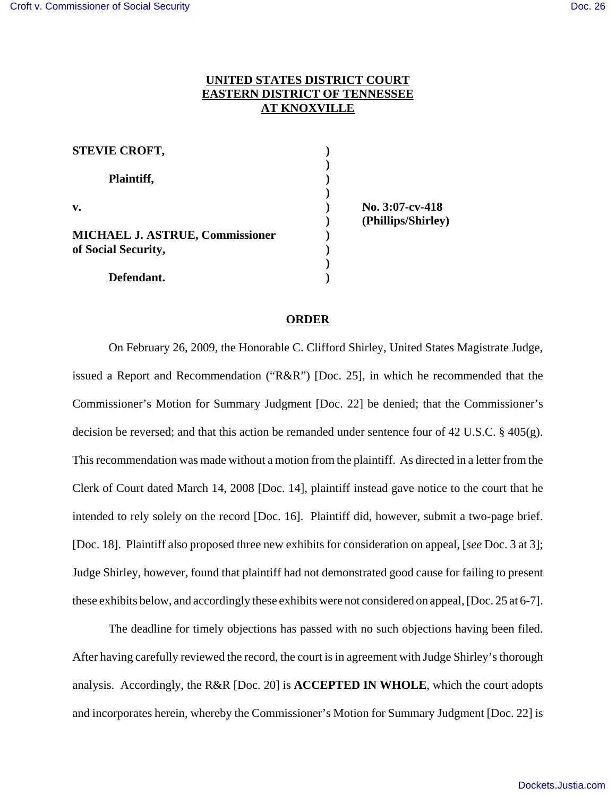## **UNITED STATES DISTRICT COURT EASTERN DISTRICT OF TENNESSEE AT KNOXVILLE**

| <b>STEVIE CROFT,</b>                   |                                       |
|----------------------------------------|---------------------------------------|
| Plaintiff,                             |                                       |
| v.                                     | No. 3:07-cv-418<br>(Phillips/Shirley) |
| <b>MICHAEL J. ASTRUE, Commissioner</b> |                                       |
| of Social Security,                    |                                       |
|                                        |                                       |
| Defendant.                             |                                       |

## **ORDER**

On February 26, 2009, the Honorable C. Clifford Shirley, United States Magistrate Judge, issued a Report and Recommendation ("R&R") [Doc. 25], in which he recommended that the Commissioner's Motion for Summary Judgment [Doc. 22] be denied; that the Commissioner's decision be reversed; and that this action be remanded under sentence four of 42 U.S.C. § 405(g). This recommendation was made without a motion from the plaintiff. As directed in a letter from the Clerk of Court dated March 14, 2008 [Doc. 14], plaintiff instead gave notice to the court that he intended to rely solely on the record [Doc. 16]. Plaintiff did, however, submit a two-page brief. [Doc. 18]. Plaintiff also proposed three new exhibits for consideration on appeal, [*see* Doc. 3 at 3]; Judge Shirley, however, found that plaintiff had not demonstrated good cause for failing to present these exhibits below, and accordingly these exhibits were not considered on appeal, [Doc. 25 at 6-7].

The deadline for timely objections has passed with no such objections having been filed. After having carefully reviewed the record, the court is in agreement with Judge Shirley's thorough analysis. Accordingly, the R&R [Doc. 20] is **ACCEPTED IN WHOLE**, which the court adopts and incorporates herein, whereby the Commissioner's Motion for Summary Judgment [Doc. 22] is